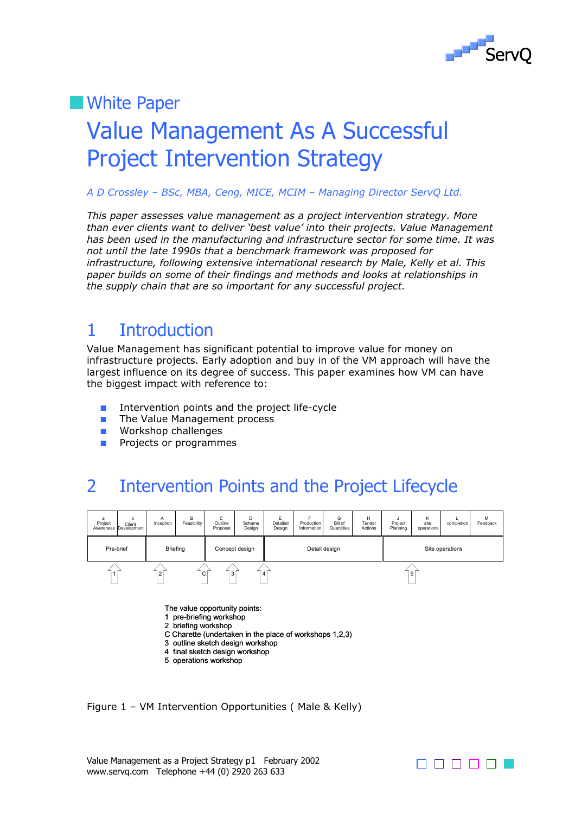

## **Nhite Paper**

# Value Management As A Successful Project Intervention Strategy

#### *A D Crossley – BSc, MBA, Ceng, MICE, MCIM – Managing Director ServQ Ltd.*

*This paper assesses value management as a project intervention strategy. More than ever clients want to deliver 'best value' into their projects. Value Management has been used in the manufacturing and infrastructure sector for some time. It was not until the late 1990s that a benchmark framework was proposed for infrastructure, following extensive international research by Male, Kelly et al. This paper builds on some of their findings and methods and looks at relationships in the supply chain that are so important for any successful project.* 

## 1 Introduction

Value Management has significant potential to improve value for money on infrastructure projects. Early adoption and buy in of the VM approach will have the largest influence on its degree of success. This paper examines how VM can have the biggest impact with reference to:

- Intervention points and the project life-cycle
- The Value Management process
- Workshop challenges
- Projects or programmes

## 2 Intervention Points and the Project Lifecycle



The value opportunity points:

- 1 pre-briefing workshop
- 2 briefing workshop
- C Charette (undertaken in the place of workshops 1,2,3)
- 3 outline sketch design workshop
- 4 final sketch design workshop 5 operations workshop
- 

Figure 1 – VM Intervention Opportunities ( Male & Kelly)

Value Management as a Project Strategy p1 February 2002 www.servq.com Telephone +44 (0) 2920 263 633

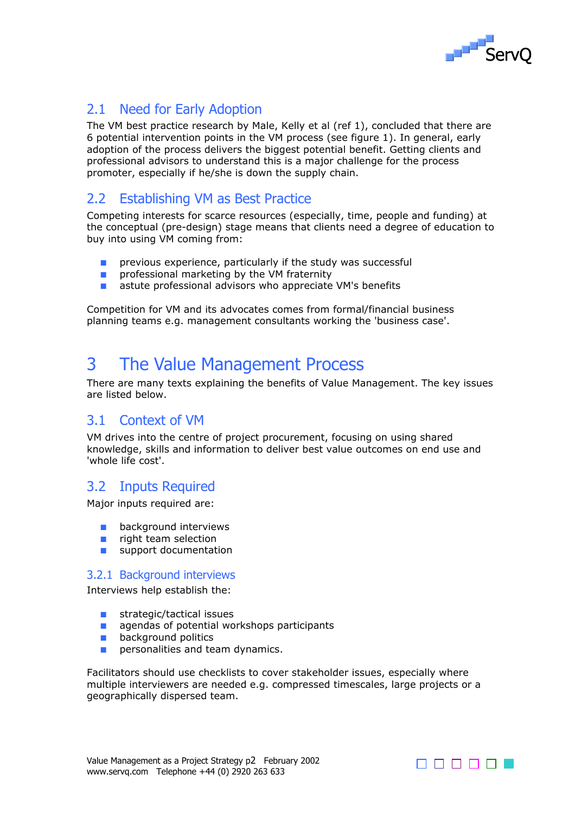

## 2.1 Need for Early Adoption

The VM best practice research by Male, Kelly et al (ref 1), concluded that there are 6 potential intervention points in the VM process (see figure 1). In general, early adoption of the process delivers the biggest potential benefit. Getting clients and professional advisors to understand this is a major challenge for the process promoter, especially if he/she is down the supply chain.

## 2.2 Establishing VM as Best Practice

Competing interests for scarce resources (especially, time, people and funding) at the conceptual (pre-design) stage means that clients need a degree of education to buy into using VM coming from:

- previous experience, particularly if the study was successful
- professional marketing by the VM fraternity
- astute professional advisors who appreciate VM's benefits

Competition for VM and its advocates comes from formal/financial business planning teams e.g. management consultants working the 'business case'.

## 3 The Value Management Process

There are many texts explaining the benefits of Value Management. The key issues are listed below.

### 3.1 Context of VM

VM drives into the centre of project procurement, focusing on using shared knowledge, skills and information to deliver best value outcomes on end use and 'whole life cost'.

### 3.2 Inputs Required

Major inputs required are:

- background interviews
- right team selection
- support documentation

#### 3.2.1 Background interviews

Interviews help establish the:

- strategic/tactical issues
- agendas of potential workshops participants
- background politics
- **■** personalities and team dynamics.

Facilitators should use checklists to cover stakeholder issues, especially where multiple interviewers are needed e.g. compressed timescales, large projects or a geographically dispersed team.

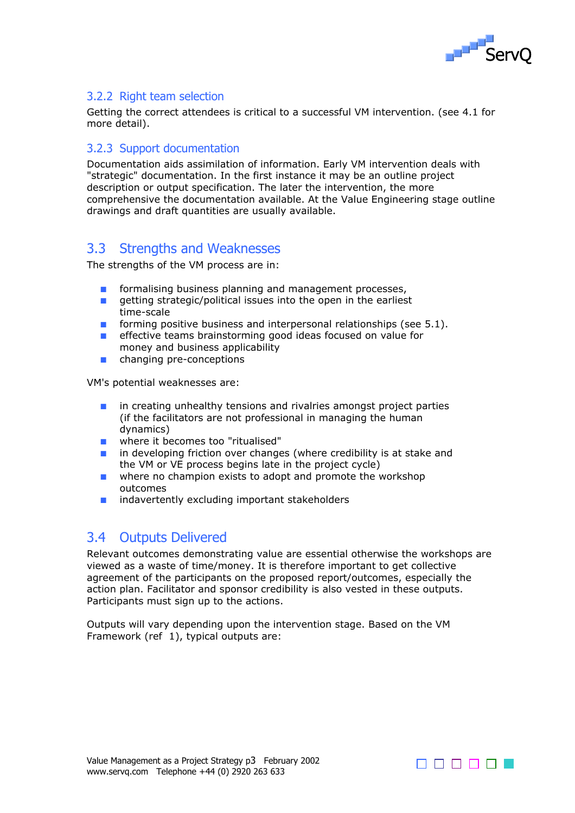

#### 3.2.2 Right team selection

Getting the correct attendees is critical to a successful VM intervention. (see 4.1 for more detail).

#### 3.2.3 Support documentation

Documentation aids assimilation of information. Early VM intervention deals with "strategic" documentation. In the first instance it may be an outline project description or output specification. The later the intervention, the more comprehensive the documentation available. At the Value Engineering stage outline drawings and draft quantities are usually available.

### 3.3 Strengths and Weaknesses

The strengths of the VM process are in:

- formalising business planning and management processes,
- getting strategic/political issues into the open in the earliest time-scale
- forming positive business and interpersonal relationships (see 5.1).
- effective teams brainstorming good ideas focused on value for money and business applicability
- changing pre-conceptions

VM's potential weaknesses are:

- in creating unhealthy tensions and rivalries amongst project parties (if the facilitators are not professional in managing the human dynamics)
- where it becomes too "ritualised"
- in developing friction over changes (where credibility is at stake and the VM or VE process begins late in the project cycle)
- where no champion exists to adopt and promote the workshop outcomes
- indavertently excluding important stakeholders

### 3.4 Outputs Delivered

Relevant outcomes demonstrating value are essential otherwise the workshops are viewed as a waste of time/money. It is therefore important to get collective agreement of the participants on the proposed report/outcomes, especially the action plan. Facilitator and sponsor credibility is also vested in these outputs. Participants must sign up to the actions.

Outputs will vary depending upon the intervention stage. Based on the VM Framework (ref 1), typical outputs are:

Value Management as a Project Strategy p3 February 2002 www.servq.com Telephone +44 (0) 2920 263 633

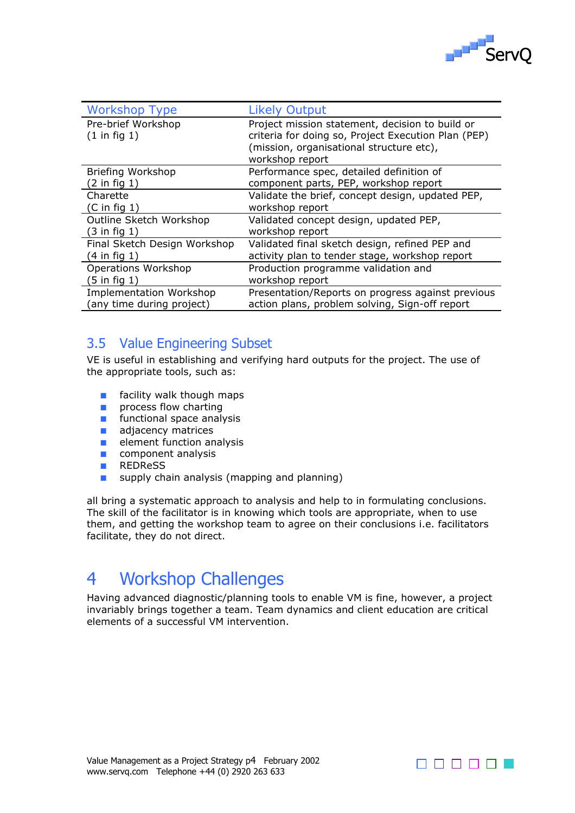

| <b>Workshop Type</b>                          | <b>Likely Output</b>                                                                                                                                                  |
|-----------------------------------------------|-----------------------------------------------------------------------------------------------------------------------------------------------------------------------|
| Pre-brief Workshop<br>$(1 \text{ in fig } 1)$ | Project mission statement, decision to build or<br>criteria for doing so, Project Execution Plan (PEP)<br>(mission, organisational structure etc),<br>workshop report |
| Briefing Workshop                             | Performance spec, detailed definition of                                                                                                                              |
| $(2 \text{ in fig } 1)$                       | component parts, PEP, workshop report                                                                                                                                 |
| Charette                                      | Validate the brief, concept design, updated PEP,                                                                                                                      |
| $(C \in \text{fin fig } 1)$                   | workshop report                                                                                                                                                       |
| Outline Sketch Workshop                       | Validated concept design, updated PEP,                                                                                                                                |
| $(3 \text{ in fig } 1)$                       | workshop report                                                                                                                                                       |
| Final Sketch Design Workshop                  | Validated final sketch design, refined PEP and                                                                                                                        |
| $(4 \text{ in fig } 1)$                       | activity plan to tender stage, workshop report                                                                                                                        |
| Operations Workshop                           | Production programme validation and                                                                                                                                   |
| $(5$ in fig 1)                                | workshop report                                                                                                                                                       |
| <b>Implementation Workshop</b>                | Presentation/Reports on progress against previous                                                                                                                     |
| (any time during project)                     | action plans, problem solving, Sign-off report                                                                                                                        |

## 3.5 Value Engineering Subset

VE is useful in establishing and verifying hard outputs for the project. The use of the appropriate tools, such as:

- facility walk though maps
- process flow charting
- functional space analysis
- adiacency matrices
- element function analysis
- component analysis
- REDReSS
- supply chain analysis (mapping and planning)

all bring a systematic approach to analysis and help to in formulating conclusions. The skill of the facilitator is in knowing which tools are appropriate, when to use them, and getting the workshop team to agree on their conclusions i.e. facilitators facilitate, they do not direct.

## 4 Workshop Challenges

Having advanced diagnostic/planning tools to enable VM is fine, however, a project invariably brings together a team. Team dynamics and client education are critical elements of a successful VM intervention.

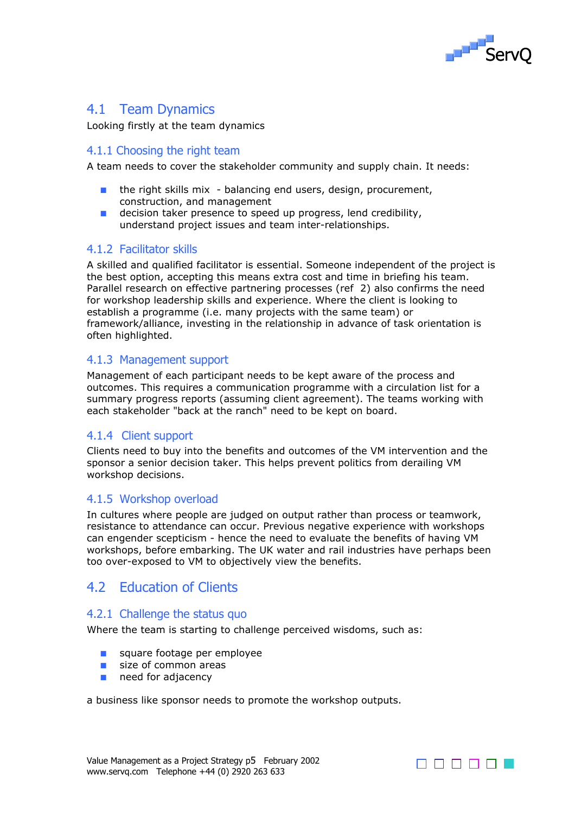

## 4.1 Team Dynamics

Looking firstly at the team dynamics

#### 4.1.1 Choosing the right team

A team needs to cover the stakeholder community and supply chain. It needs:

- the right skills mix balancing end users, design, procurement, construction, and management
- decision taker presence to speed up progress, lend credibility, understand project issues and team inter-relationships.

#### 4.1.2 Facilitator skills

A skilled and qualified facilitator is essential. Someone independent of the project is the best option, accepting this means extra cost and time in briefing his team. Parallel research on effective partnering processes (ref 2) also confirms the need for workshop leadership skills and experience. Where the client is looking to establish a programme (i.e. many projects with the same team) or framework/alliance, investing in the relationship in advance of task orientation is often highlighted.

#### 4.1.3 Management support

Management of each participant needs to be kept aware of the process and outcomes. This requires a communication programme with a circulation list for a summary progress reports (assuming client agreement). The teams working with each stakeholder "back at the ranch" need to be kept on board.

#### 4.1.4 Client support

Clients need to buy into the benefits and outcomes of the VM intervention and the sponsor a senior decision taker. This helps prevent politics from derailing VM workshop decisions.

#### 4.1.5 Workshop overload

In cultures where people are judged on output rather than process or teamwork, resistance to attendance can occur. Previous negative experience with workshops can engender scepticism - hence the need to evaluate the benefits of having VM workshops, before embarking. The UK water and rail industries have perhaps been too over-exposed to VM to objectively view the benefits.

### 4.2 Education of Clients

#### 4.2.1 Challenge the status quo

Where the team is starting to challenge perceived wisdoms, such as:

- square footage per employee
- size of common areas
- need for adjacency

a business like sponsor needs to promote the workshop outputs.

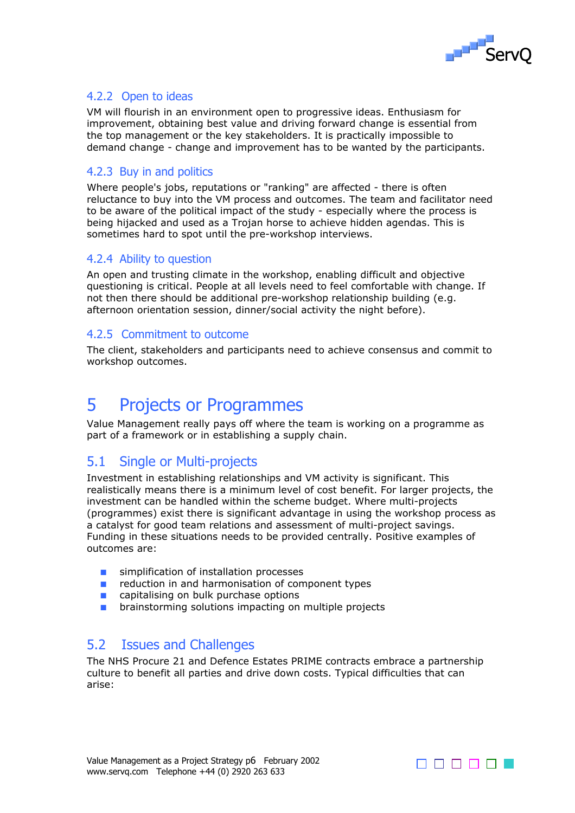

#### 4.2.2 Open to ideas

VM will flourish in an environment open to progressive ideas. Enthusiasm for improvement, obtaining best value and driving forward change is essential from the top management or the key stakeholders. It is practically impossible to demand change - change and improvement has to be wanted by the participants.

#### 4.2.3 Buy in and politics

Where people's jobs, reputations or "ranking" are affected - there is often reluctance to buy into the VM process and outcomes. The team and facilitator need to be aware of the political impact of the study - especially where the process is being hijacked and used as a Trojan horse to achieve hidden agendas. This is sometimes hard to spot until the pre-workshop interviews.

#### 4.2.4 Ability to question

An open and trusting climate in the workshop, enabling difficult and objective questioning is critical. People at all levels need to feel comfortable with change. If not then there should be additional pre-workshop relationship building (e.g. afternoon orientation session, dinner/social activity the night before).

#### 4.2.5 Commitment to outcome

The client, stakeholders and participants need to achieve consensus and commit to workshop outcomes.

## 5 Projects or Programmes

Value Management really pays off where the team is working on a programme as part of a framework or in establishing a supply chain.

### 5.1 Single or Multi-projects

Investment in establishing relationships and VM activity is significant. This realistically means there is a minimum level of cost benefit. For larger projects, the investment can be handled within the scheme budget. Where multi-projects (programmes) exist there is significant advantage in using the workshop process as a catalyst for good team relations and assessment of multi-project savings. Funding in these situations needs to be provided centrally. Positive examples of outcomes are:

- simplification of installation processes
- reduction in and harmonisation of component types
- capitalising on bulk purchase options
- brainstorming solutions impacting on multiple projects

### 5.2 Issues and Challenges

The NHS Procure 21 and Defence Estates PRIME contracts embrace a partnership culture to benefit all parties and drive down costs. Typical difficulties that can arise: